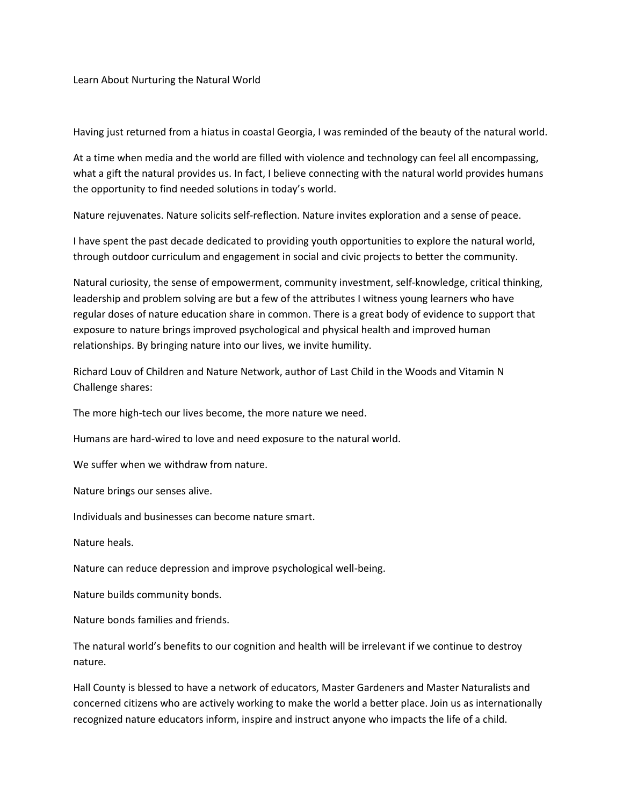Learn About Nurturing the Natural World

Having just returned from a hiatus in coastal Georgia, I was reminded of the beauty of the natural world.

At a time when media and the world are filled with violence and technology can feel all encompassing, what a gift the natural provides us. In fact, I believe connecting with the natural world provides humans the opportunity to find needed solutions in today's world.

Nature rejuvenates. Nature solicits self-reflection. Nature invites exploration and a sense of peace.

I have spent the past decade dedicated to providing youth opportunities to explore the natural world, through outdoor curriculum and engagement in social and civic projects to better the community.

Natural curiosity, the sense of empowerment, community investment, self-knowledge, critical thinking, leadership and problem solving are but a few of the attributes I witness young learners who have regular doses of nature education share in common. There is a great body of evidence to support that exposure to nature brings improved psychological and physical health and improved human relationships. By bringing nature into our lives, we invite humility.

Richard Louv of Children and Nature Network, author of Last Child in the Woods and Vitamin N Challenge shares:

The more high-tech our lives become, the more nature we need.

Humans are hard-wired to love and need exposure to the natural world.

We suffer when we withdraw from nature.

Nature brings our senses alive.

Individuals and businesses can become nature smart.

Nature heals.

Nature can reduce depression and improve psychological well-being.

Nature builds community bonds.

Nature bonds families and friends.

The natural world's benefits to our cognition and health will be irrelevant if we continue to destroy nature.

Hall County is blessed to have a network of educators, Master Gardeners and Master Naturalists and concerned citizens who are actively working to make the world a better place. Join us as internationally recognized nature educators inform, inspire and instruct anyone who impacts the life of a child.